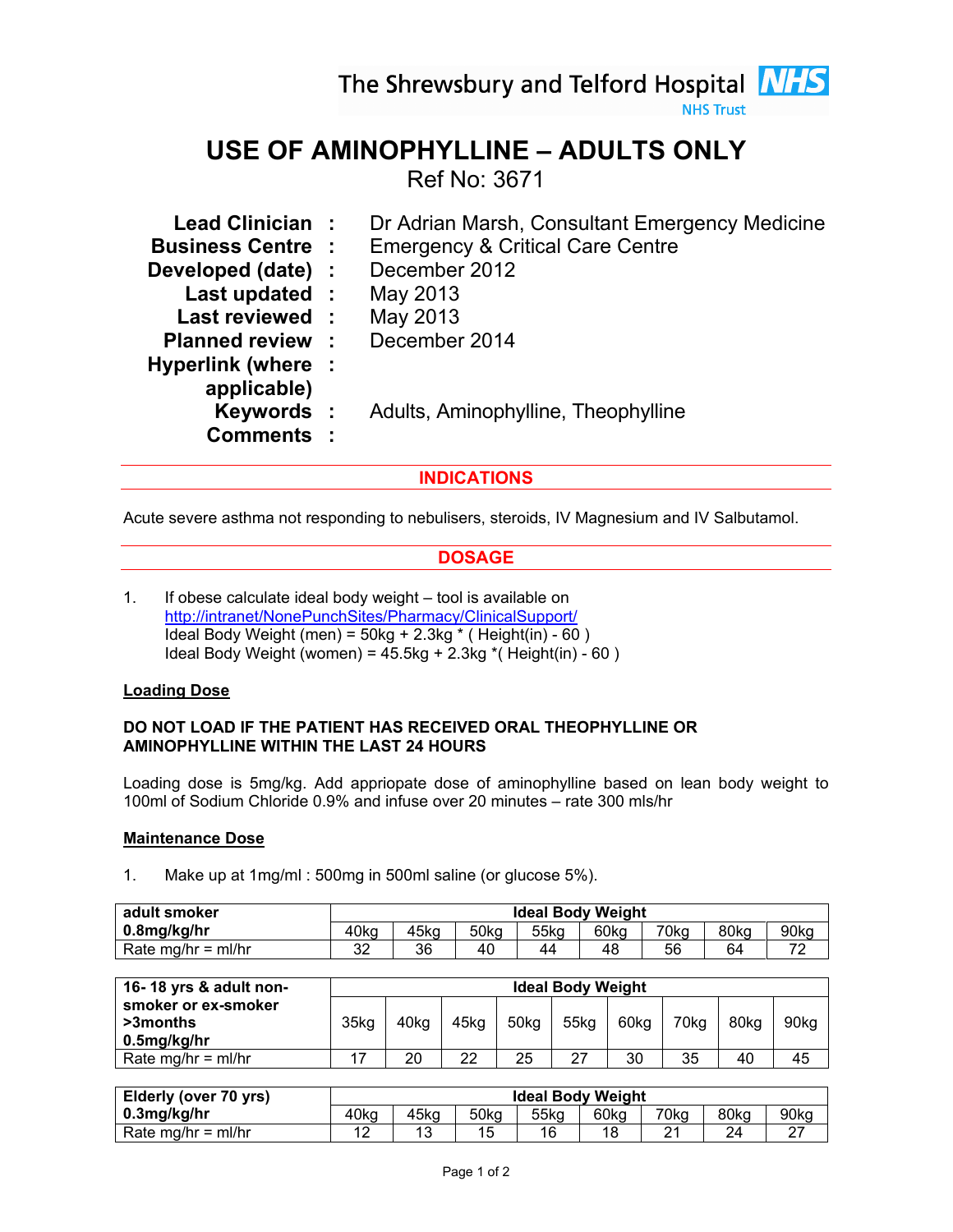The Shrewsbury and Telford Hospital **NHS** 

**NHS Trust** 

# USE OF AMINOPHYLLINE – ADULTS ONLY

Ref No: 3671

| Lead Clinician:          | Dr Adrian Marsh, Consultant Emergency Medicine |
|--------------------------|------------------------------------------------|
| <b>Business Centre :</b> | <b>Emergency &amp; Critical Care Centre</b>    |
| Developed (date) :       | December 2012                                  |
| Last updated :           | May 2013                                       |
| Last reviewed:           | May 2013                                       |
| <b>Planned review :</b>  | December 2014                                  |
| Hyperlink (where :       |                                                |
|                          |                                                |
| Keywords :               | Adults, Aminophylline, Theophylline            |
| <b>Comments:</b>         |                                                |
|                          |                                                |

## INDICATIONS

Acute severe asthma not responding to nebulisers, steroids, IV Magnesium and IV Salbutamol.

## **DOSAGE**

1. If obese calculate ideal body weight – tool is available on http://intranet/NonePunchSites/Pharmacy/ClinicalSupport/ Ideal Body Weight (men) =  $50kg + 2.3kg *$  (Height(in) -  $60$ ) Ideal Body Weight (women) =  $45.5$ kg +  $2.3$ kg  $*($  Height(in) - 60)

## Loading Dose

#### DO NOT LOAD IF THE PATIENT HAS RECEIVED ORAL THEOPHYLLINE OR AMINOPHYLLINE WITHIN THE LAST 24 HOURS

Loading dose is 5mg/kg. Add appriopate dose of aminophylline based on lean body weight to 100ml of Sodium Chloride 0.9% and infuse over 20 minutes – rate 300 mls/hr

#### Maintenance Dose

1. Make up at 1mg/ml : 500mg in 500ml saline (or glucose 5%).

| adult smoker         | <b>Ideal Body Weight</b> |      |                  |      |      |      |      |      |  |
|----------------------|--------------------------|------|------------------|------|------|------|------|------|--|
| 0.8mg/kg/hr          | 40kg                     | 45kg | 50 <sub>kg</sub> | 55kg | 60kg | 70kg | 80kg | 90kg |  |
| Rate mg/hr = $ml/hr$ | າາ<br>ےں                 | 36   | 40               |      | 48   | 56   | 64   | -    |  |

| 16-18 yrs & adult non- | <b>Ideal Body Weight</b> |      |      |                  |      |      |      |      |      |
|------------------------|--------------------------|------|------|------------------|------|------|------|------|------|
| smoker or ex-smoker    |                          |      |      |                  |      |      |      |      |      |
| >3months               | 35kg                     | 40ka | 45ka | 50 <sub>kq</sub> | 55kg | 60kg | 70kg | 80kg | 90kg |
| 0.5mg/kg/hr            |                          |      |      |                  |      |      |      |      |      |
| Rate mg/hr = $ml/hr$   |                          | 20   | 22   | 25               | -27  | 30   | 35   | 40   | 45   |

| Elderly (over 70 yrs) | <b>Ideal Body Weight</b> |      |      |      |      |      |            |                  |  |
|-----------------------|--------------------------|------|------|------|------|------|------------|------------------|--|
| 0.3mg/kg/hr           | 40kg                     | 45kg | 50kg | 55kg | 60ka | 70kg | 80kg       | 90 <sub>kg</sub> |  |
| Rate mg/hr = ml/hr    | ►                        |      |      | 16   | 18   |      | $2\Lambda$ |                  |  |